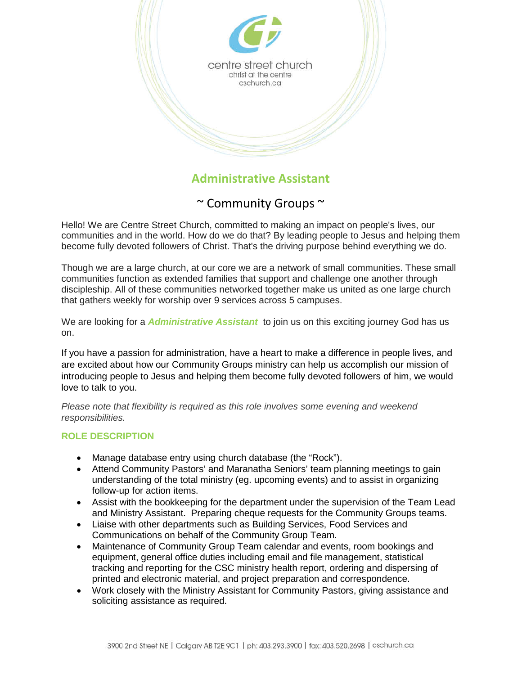

# **Administrative Assistant**

## ~ Community Groups ~

Hello! We are Centre Street Church, committed to making an impact on people's lives, our communities and in the world. How do we do that? By leading people to Jesus and helping them become fully devoted followers of Christ. That's the driving purpose behind everything we do.

Though we are a large church, at our core we are a network of small communities. These small communities function as extended families that support and challenge one another through discipleship. All of these communities networked together make us united as one large church that gathers weekly for worship over 9 services across 5 campuses.

We are looking for a *Administrative Assistant* to join us on this exciting journey God has us on.

If you have a passion for administration, have a heart to make a difference in people lives, and are excited about how our Community Groups ministry can help us accomplish our mission of introducing people to Jesus and helping them become fully devoted followers of him, we would love to talk to you.

*Please note that flexibility is required as this role involves some evening and weekend responsibilities.*

#### **ROLE DESCRIPTION**

- Manage database entry using church database (the "Rock").
- Attend Community Pastors' and Maranatha Seniors' team planning meetings to gain understanding of the total ministry (eg. upcoming events) and to assist in organizing follow-up for action items.
- Assist with the bookkeeping for the department under the supervision of the Team Lead and Ministry Assistant. Preparing cheque requests for the Community Groups teams.
- Liaise with other departments such as Building Services, Food Services and Communications on behalf of the Community Group Team.
- Maintenance of Community Group Team calendar and events, room bookings and equipment, general office duties including email and file management, statistical tracking and reporting for the CSC ministry health report, ordering and dispersing of printed and electronic material, and project preparation and correspondence.
- Work closely with the Ministry Assistant for Community Pastors, giving assistance and soliciting assistance as required.